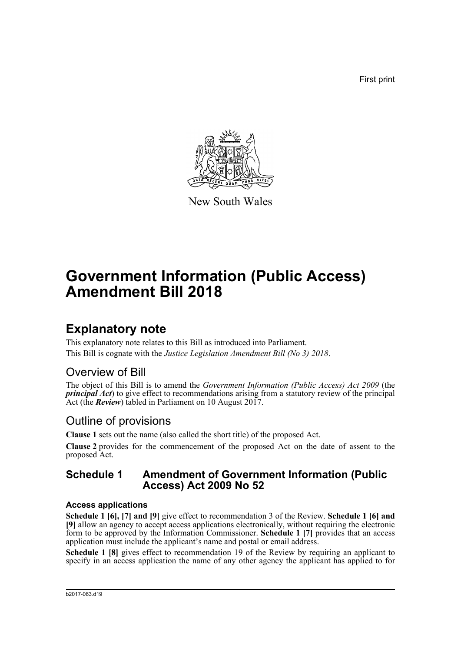First print



New South Wales

# **Government Information (Public Access) Amendment Bill 2018**

## **Explanatory note**

This explanatory note relates to this Bill as introduced into Parliament. This Bill is cognate with the *Justice Legislation Amendment Bill (No 3) 2018*.

### Overview of Bill

The object of this Bill is to amend the *Government Information (Public Access) Act 2009* (the *principal Act*) to give effect to recommendations arising from a statutory review of the principal Act (the *Review*) tabled in Parliament on 10 August 2017.

### Outline of provisions

**Clause 1** sets out the name (also called the short title) of the proposed Act.

**Clause 2** provides for the commencement of the proposed Act on the date of assent to the proposed Act.

### **Schedule 1 Amendment of Government Information (Public Access) Act 2009 No 52**

#### **Access applications**

**Schedule 1 [6], [7] and [9]** give effect to recommendation 3 of the Review. **Schedule 1 [6] and [9]** allow an agency to accept access applications electronically, without requiring the electronic form to be approved by the Information Commissioner. **Schedule 1 [7]** provides that an access application must include the applicant's name and postal or email address.

**Schedule 1 [8]** gives effect to recommendation 19 of the Review by requiring an applicant to specify in an access application the name of any other agency the applicant has applied to for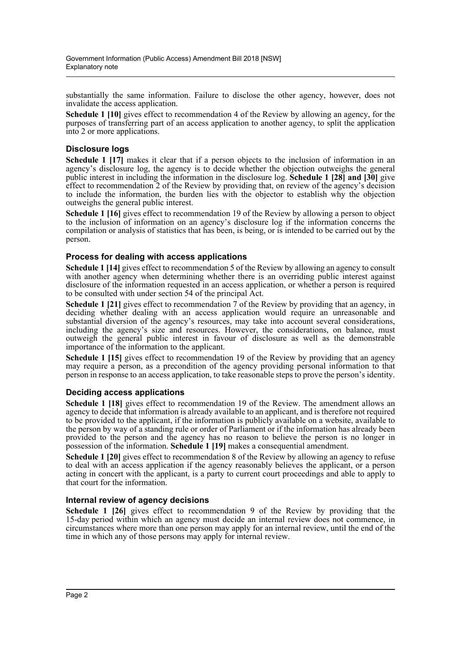substantially the same information. Failure to disclose the other agency, however, does not invalidate the access application.

**Schedule 1 [10]** gives effect to recommendation 4 of the Review by allowing an agency, for the purposes of transferring part of an access application to another agency, to split the application into 2 or more applications.

#### **Disclosure logs**

**Schedule 1 [17]** makes it clear that if a person objects to the inclusion of information in an agency's disclosure log, the agency is to decide whether the objection outweighs the general public interest in including the information in the disclosure log. **Schedule 1 [28] and [30]** give effect to recommendation 2 of the Review by providing that, on review of the agency's decision to include the information, the burden lies with the objector to establish why the objection outweighs the general public interest.

**Schedule 1 [16]** gives effect to recommendation 19 of the Review by allowing a person to object to the inclusion of information on an agency's disclosure log if the information concerns the compilation or analysis of statistics that has been, is being, or is intended to be carried out by the person.

#### **Process for dealing with access applications**

**Schedule 1 [14]** gives effect to recommendation 5 of the Review by allowing an agency to consult with another agency when determining whether there is an overriding public interest against disclosure of the information requested in an access application, or whether a person is required to be consulted with under section 54 of the principal Act.

**Schedule 1 [21]** gives effect to recommendation 7 of the Review by providing that an agency, in deciding whether dealing with an access application would require an unreasonable and substantial diversion of the agency's resources, may take into account several considerations, including the agency's size and resources. However, the considerations, on balance, must outweigh the general public interest in favour of disclosure as well as the demonstrable importance of the information to the applicant.

**Schedule 1 [15]** gives effect to recommendation 19 of the Review by providing that an agency may require a person, as a precondition of the agency providing personal information to that person in response to an access application, to take reasonable steps to prove the person's identity.

#### **Deciding access applications**

**Schedule 1 [18]** gives effect to recommendation 19 of the Review. The amendment allows an agency to decide that information is already available to an applicant, and is therefore not required to be provided to the applicant, if the information is publicly available on a website, available to the person by way of a standing rule or order of Parliament or if the information has already been provided to the person and the agency has no reason to believe the person is no longer in possession of the information. **Schedule 1 [19]** makes a consequential amendment.

**Schedule 1 [20]** gives effect to recommendation 8 of the Review by allowing an agency to refuse to deal with an access application if the agency reasonably believes the applicant, or a person acting in concert with the applicant, is a party to current court proceedings and able to apply to that court for the information.

#### **Internal review of agency decisions**

**Schedule 1 [26]** gives effect to recommendation 9 of the Review by providing that the 15-day period within which an agency must decide an internal review does not commence, in circumstances where more than one person may apply for an internal review, until the end of the time in which any of those persons may apply for internal review.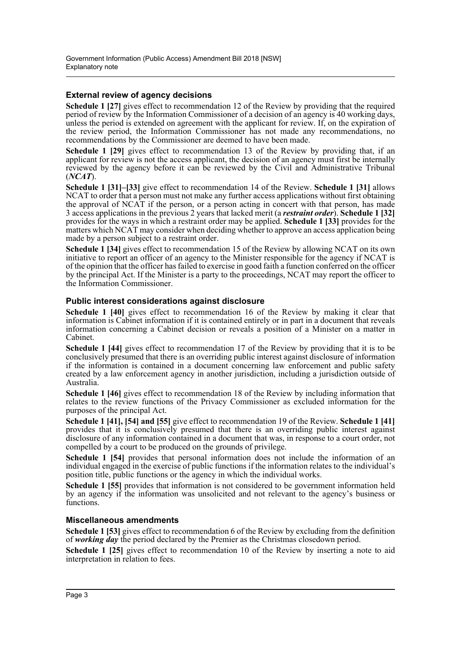#### **External review of agency decisions**

**Schedule 1 [27]** gives effect to recommendation 12 of the Review by providing that the required period of review by the Information Commissioner of a decision of an agency is 40 working days, unless the period is extended on agreement with the applicant for review. If, on the expiration of the review period, the Information Commissioner has not made any recommendations, no recommendations by the Commissioner are deemed to have been made.

**Schedule 1 [29]** gives effect to recommendation 13 of the Review by providing that, if an applicant for review is not the access applicant, the decision of an agency must first be internally reviewed by the agency before it can be reviewed by the Civil and Administrative Tribunal (*NCAT*).

**Schedule 1 [31]–[33]** give effect to recommendation 14 of the Review. **Schedule 1 [31]** allows NCAT to order that a person must not make any further access applications without first obtaining the approval of NCAT if the person, or a person acting in concert with that person, has made 3 access applications in the previous 2 years that lacked merit (a *restraint order*). **Schedule 1 [32]** provides for the ways in which a restraint order may be applied. **Schedule 1 [33]** provides for the matters which NCAT may consider when deciding whether to approve an access application being made by a person subject to a restraint order.

**Schedule 1 [34]** gives effect to recommendation 15 of the Review by allowing NCAT on its own initiative to report an officer of an agency to the Minister responsible for the agency if NCAT is of the opinion that the officer has failed to exercise in good faith a function conferred on the officer by the principal Act. If the Minister is a party to the proceedings, NCAT may report the officer to the Information Commissioner.

#### **Public interest considerations against disclosure**

**Schedule 1 [40]** gives effect to recommendation 16 of the Review by making it clear that information is Cabinet information if it is contained entirely or in part in a document that reveals information concerning a Cabinet decision or reveals a position of a Minister on a matter in Cabinet.

**Schedule 1 [44]** gives effect to recommendation 17 of the Review by providing that it is to be conclusively presumed that there is an overriding public interest against disclosure of information if the information is contained in a document concerning law enforcement and public safety created by a law enforcement agency in another jurisdiction, including a jurisdiction outside of Australia.

**Schedule 1 [46]** gives effect to recommendation 18 of the Review by including information that relates to the review functions of the Privacy Commissioner as excluded information for the purposes of the principal Act.

**Schedule 1 [41], [54] and [55]** give effect to recommendation 19 of the Review. **Schedule 1 [41]** provides that it is conclusively presumed that there is an overriding public interest against disclosure of any information contained in a document that was, in response to a court order, not compelled by a court to be produced on the grounds of privilege.

**Schedule 1 [54]** provides that personal information does not include the information of an individual engaged in the exercise of public functions if the information relates to the individual's position title, public functions or the agency in which the individual works.

**Schedule 1 [55]** provides that information is not considered to be government information held by an agency if the information was unsolicited and not relevant to the agency's business or functions.

#### **Miscellaneous amendments**

**Schedule 1 [53]** gives effect to recommendation 6 of the Review by excluding from the definition of *working day* the period declared by the Premier as the Christmas closedown period.

**Schedule 1 [25]** gives effect to recommendation 10 of the Review by inserting a note to aid interpretation in relation to fees.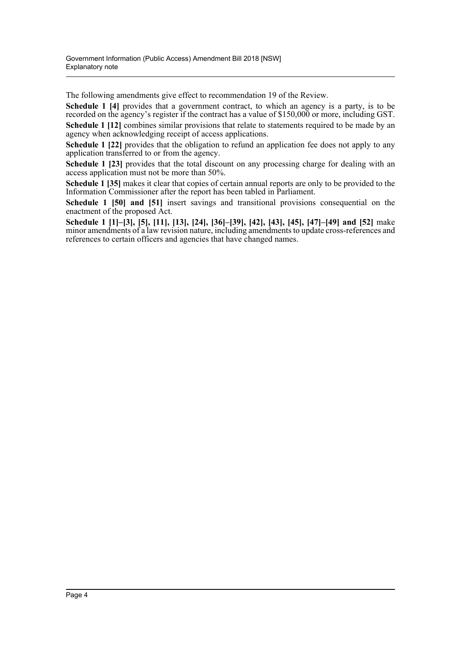The following amendments give effect to recommendation 19 of the Review.

**Schedule 1 [4]** provides that a government contract, to which an agency is a party, is to be recorded on the agency's register if the contract has a value of \$150,000 or more, including GST.

**Schedule 1 [12]** combines similar provisions that relate to statements required to be made by an agency when acknowledging receipt of access applications.

**Schedule 1 [22]** provides that the obligation to refund an application fee does not apply to any application transferred to or from the agency.

**Schedule 1 [23]** provides that the total discount on any processing charge for dealing with an access application must not be more than 50%.

**Schedule 1 [35]** makes it clear that copies of certain annual reports are only to be provided to the Information Commissioner after the report has been tabled in Parliament.

**Schedule 1 [50] and [51]** insert savings and transitional provisions consequential on the enactment of the proposed Act.

**Schedule 1 [1]–[3], [5], [11], [13], [24], [36]–[39], [42], [43], [45], [47]–[49] and [52]** make minor amendments of a law revision nature, including amendments to update cross-references and references to certain officers and agencies that have changed names.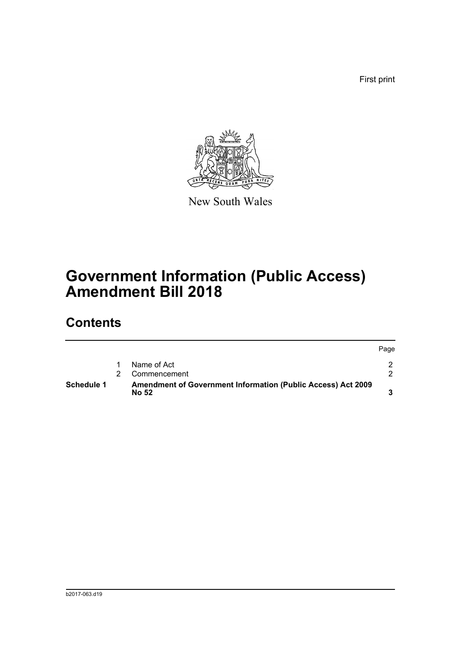First print



New South Wales

# **Government Information (Public Access) Amendment Bill 2018**

## **Contents**

| <b>Schedule 1</b> | <b>Amendment of Government Information (Public Access) Act 2009</b><br><b>No 52</b> |      |
|-------------------|-------------------------------------------------------------------------------------|------|
|                   | Commencement                                                                        |      |
|                   | Name of Act                                                                         |      |
|                   |                                                                                     | Page |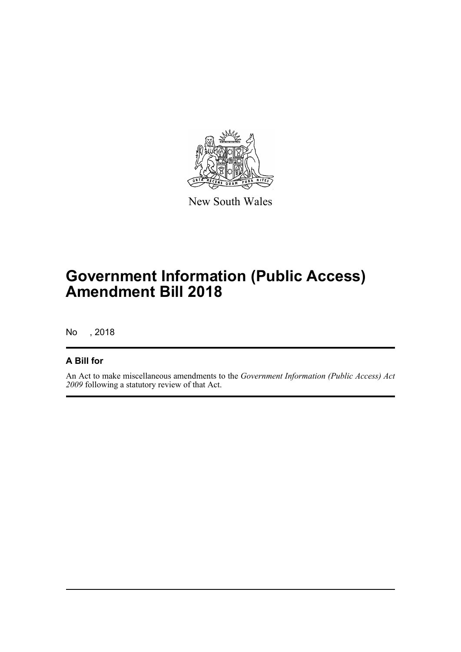

New South Wales

# **Government Information (Public Access) Amendment Bill 2018**

No , 2018

### **A Bill for**

An Act to make miscellaneous amendments to the *Government Information (Public Access) Act 2009* following a statutory review of that Act.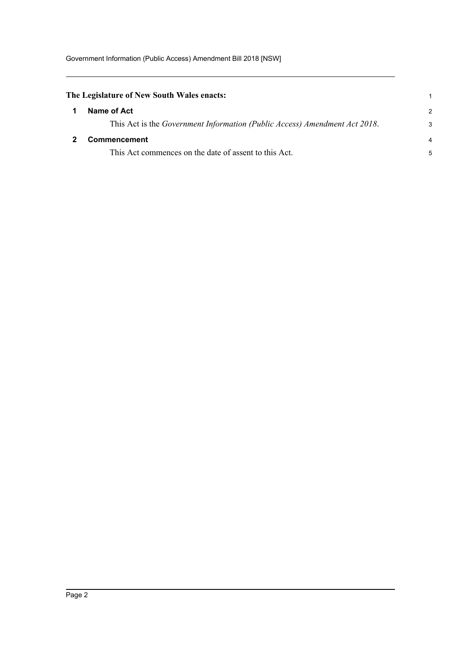<span id="page-6-1"></span><span id="page-6-0"></span>

| The Legislature of New South Wales enacts:                                 |                |
|----------------------------------------------------------------------------|----------------|
| Name of Act                                                                | $\mathcal{P}$  |
| This Act is the Government Information (Public Access) Amendment Act 2018. | 3              |
| <b>Commencement</b>                                                        | $\overline{4}$ |
| This Act commences on the date of assent to this Act.                      | 5              |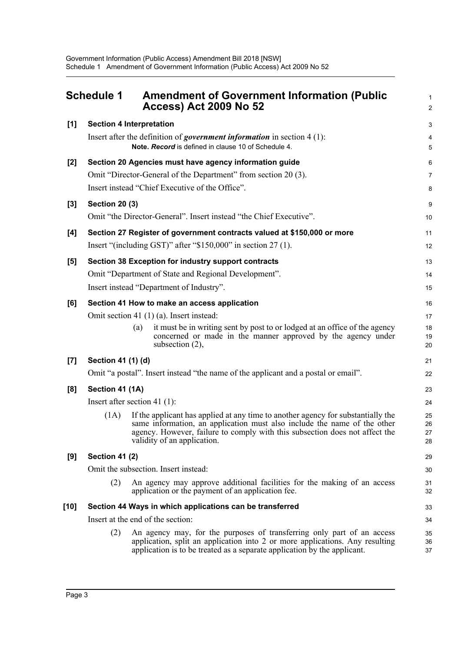<span id="page-7-0"></span>

|                  | <b>Schedule 1</b>               |     | <b>Amendment of Government Information (Public</b><br><b>Access) Act 2009 No 52</b>                                                                                                                                                                                        | $\mathbf{1}$<br>$\boldsymbol{2}$ |
|------------------|---------------------------------|-----|----------------------------------------------------------------------------------------------------------------------------------------------------------------------------------------------------------------------------------------------------------------------------|----------------------------------|
| $[1]$            | <b>Section 4 Interpretation</b> |     |                                                                                                                                                                                                                                                                            | 3                                |
|                  |                                 |     | Insert after the definition of <i>government information</i> in section $4(1)$ :<br>Note. Record is defined in clause 10 of Schedule 4.                                                                                                                                    | 4<br>5                           |
| $[2]$            |                                 |     | Section 20 Agencies must have agency information guide                                                                                                                                                                                                                     | 6                                |
|                  |                                 |     | Omit "Director-General of the Department" from section 20 (3).                                                                                                                                                                                                             | $\overline{7}$                   |
|                  |                                 |     | Insert instead "Chief Executive of the Office".                                                                                                                                                                                                                            | 8                                |
| $[3]$            | <b>Section 20 (3)</b>           |     |                                                                                                                                                                                                                                                                            | $\boldsymbol{9}$                 |
|                  |                                 |     | Omit "the Director-General". Insert instead "the Chief Executive".                                                                                                                                                                                                         | 10                               |
| [4]              |                                 |     | Section 27 Register of government contracts valued at \$150,000 or more                                                                                                                                                                                                    | 11                               |
|                  |                                 |     | Insert "(including GST)" after " $$150,000$ " in section 27 (1).                                                                                                                                                                                                           | 12                               |
| $[5]$            |                                 |     | Section 38 Exception for industry support contracts                                                                                                                                                                                                                        | 13                               |
|                  |                                 |     | Omit "Department of State and Regional Development".                                                                                                                                                                                                                       | 14                               |
|                  |                                 |     | Insert instead "Department of Industry".                                                                                                                                                                                                                                   | 15                               |
| [6]              |                                 |     | Section 41 How to make an access application                                                                                                                                                                                                                               | 16                               |
|                  |                                 |     | Omit section 41 (1) (a). Insert instead:                                                                                                                                                                                                                                   | 17                               |
|                  |                                 | (a) | it must be in writing sent by post to or lodged at an office of the agency<br>concerned or made in the manner approved by the agency under<br>subsection $(2)$ ,                                                                                                           | 18<br>19<br>20                   |
| $\left[7\right]$ | Section 41 (1) (d)              |     |                                                                                                                                                                                                                                                                            | 21                               |
|                  |                                 |     | Omit "a postal". Insert instead "the name of the applicant and a postal or email".                                                                                                                                                                                         | 22                               |
| [8]              | Section 41 (1A)                 |     |                                                                                                                                                                                                                                                                            | 23                               |
|                  | Insert after section 41 $(1)$ : |     |                                                                                                                                                                                                                                                                            | 24                               |
|                  | (1A)                            |     | If the applicant has applied at any time to another agency for substantially the<br>same information, an application must also include the name of the other<br>agency. However, failure to comply with this subsection does not affect the<br>validity of an application. | 25<br>26<br>27<br>28             |
| [9]              | <b>Section 41 (2)</b>           |     |                                                                                                                                                                                                                                                                            | 29                               |
|                  |                                 |     | Omit the subsection. Insert instead:                                                                                                                                                                                                                                       | 30                               |
|                  | (2)                             |     | An agency may approve additional facilities for the making of an access<br>application or the payment of an application fee.                                                                                                                                               | 31<br>32                         |
| $[10]$           |                                 |     | Section 44 Ways in which applications can be transferred                                                                                                                                                                                                                   | 33                               |
|                  |                                 |     | Insert at the end of the section:                                                                                                                                                                                                                                          | 34                               |
|                  | (2)                             |     | An agency may, for the purposes of transferring only part of an access<br>application, split an application into 2 or more applications. Any resulting<br>application is to be treated as a separate application by the applicant.                                         | 35<br>36<br>37                   |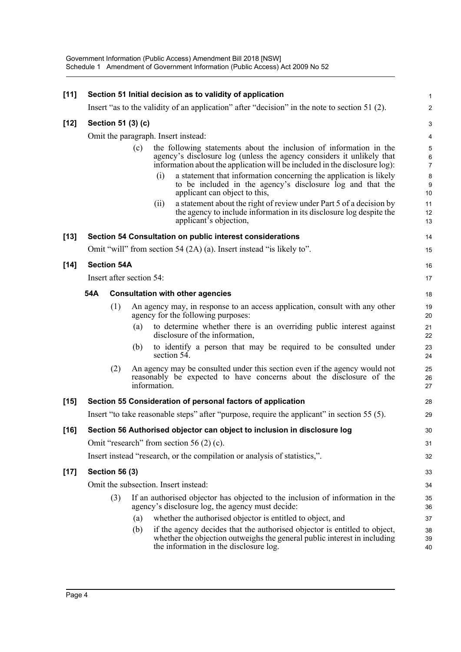| $[11]$ |                          | Section 51 Initial decision as to validity of application                                                                                                                                                                        | $\mathbf{1}$                             |
|--------|--------------------------|----------------------------------------------------------------------------------------------------------------------------------------------------------------------------------------------------------------------------------|------------------------------------------|
|        |                          | Insert "as to the validity of an application" after "decision" in the note to section 51 (2).                                                                                                                                    | $\overline{2}$                           |
| $[12]$ | Section 51 (3) (c)       |                                                                                                                                                                                                                                  | 3                                        |
|        |                          | Omit the paragraph. Insert instead:                                                                                                                                                                                              | 4                                        |
|        |                          | the following statements about the inclusion of information in the<br>(c)<br>agency's disclosure log (unless the agency considers it unlikely that<br>information about the application will be included in the disclosure log): | $\,$ 5 $\,$<br>$\,6\,$<br>$\overline{7}$ |
|        |                          | a statement that information concerning the application is likely<br>(i)<br>to be included in the agency's disclosure log and that the<br>applicant can object to this,                                                          | $\bf 8$<br>$\boldsymbol{9}$<br>10        |
|        |                          | a statement about the right of review under Part 5 of a decision by<br>(ii)<br>the agency to include information in its disclosure log despite the<br>applicant's objection,                                                     | 11<br>12<br>13                           |
| $[13]$ |                          | Section 54 Consultation on public interest considerations                                                                                                                                                                        | 14                                       |
|        |                          | Omit "will" from section 54 (2A) (a). Insert instead "is likely to".                                                                                                                                                             | 15                                       |
| $[14]$ | <b>Section 54A</b>       |                                                                                                                                                                                                                                  | 16                                       |
|        | Insert after section 54: |                                                                                                                                                                                                                                  | 17                                       |
|        | 54A                      | <b>Consultation with other agencies</b>                                                                                                                                                                                          | 18                                       |
|        | (1)                      | An agency may, in response to an access application, consult with any other<br>agency for the following purposes:                                                                                                                | 19<br>20                                 |
|        |                          | to determine whether there is an overriding public interest against<br>(a)<br>disclosure of the information,                                                                                                                     | 21<br>22                                 |
|        |                          | to identify a person that may be required to be consulted under<br>(b)<br>section 54.                                                                                                                                            | 23<br>24                                 |
|        | (2)                      | An agency may be consulted under this section even if the agency would not<br>reasonably be expected to have concerns about the disclosure of the<br>information.                                                                | 25<br>26<br>27                           |
| $[15]$ |                          | Section 55 Consideration of personal factors of application                                                                                                                                                                      | 28                                       |
|        |                          | Insert "to take reasonable steps" after "purpose, require the applicant" in section 55 (5).                                                                                                                                      | 29                                       |
| $[16]$ |                          | Section 56 Authorised objector can object to inclusion in disclosure log                                                                                                                                                         | 30                                       |
|        |                          | Omit "research" from section 56 $(2)$ (c).                                                                                                                                                                                       | 31                                       |
|        |                          | Insert instead "research, or the compilation or analysis of statistics,".                                                                                                                                                        | 32                                       |
| $[17]$ | <b>Section 56 (3)</b>    |                                                                                                                                                                                                                                  | 33                                       |
|        |                          | Omit the subsection. Insert instead:                                                                                                                                                                                             | 34                                       |
|        | (3)                      | If an authorised objector has objected to the inclusion of information in the<br>agency's disclosure log, the agency must decide:                                                                                                | 35<br>36                                 |
|        |                          | whether the authorised objector is entitled to object, and<br>(a)                                                                                                                                                                | 37                                       |
|        |                          | if the agency decides that the authorised objector is entitled to object,<br>(b)<br>whether the objection outweighs the general public interest in including<br>the information in the disclosure log.                           | 38<br>39<br>40                           |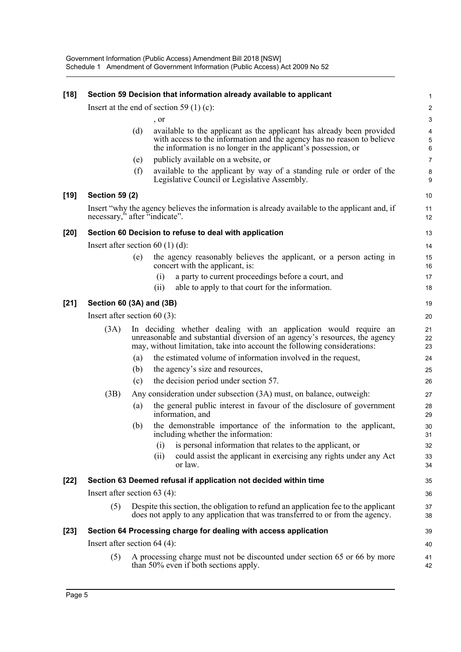| $[18]$ |                                |     | Section 59 Decision that information already available to applicant                                                                                                                                                         | 1                     |  |
|--------|--------------------------------|-----|-----------------------------------------------------------------------------------------------------------------------------------------------------------------------------------------------------------------------------|-----------------------|--|
|        |                                |     | Insert at the end of section 59 (1) (c):                                                                                                                                                                                    | 2                     |  |
|        |                                |     | , or                                                                                                                                                                                                                        | $\mathbf{3}$          |  |
|        |                                | (d) | available to the applicant as the applicant has already been provided<br>with access to the information and the agency has no reason to believe<br>the information is no longer in the applicant's possession, or           | 4<br>$\mathbf 5$<br>6 |  |
|        |                                | (e) | publicly available on a website, or                                                                                                                                                                                         | $\overline{7}$        |  |
|        |                                | (f) | available to the applicant by way of a standing rule or order of the<br>Legislative Council or Legislative Assembly.                                                                                                        | 8<br>9                |  |
| $[19]$ | <b>Section 59 (2)</b>          |     |                                                                                                                                                                                                                             | 10                    |  |
|        | necessary," after "indicate".  |     | Insert "why the agency believes the information is already available to the applicant and, if                                                                                                                               | 11<br>12              |  |
| $[20]$ |                                |     | Section 60 Decision to refuse to deal with application                                                                                                                                                                      | 13                    |  |
|        |                                |     | Insert after section $60(1)(d)$ :                                                                                                                                                                                           | 14                    |  |
|        |                                | (e) | the agency reasonably believes the applicant, or a person acting in<br>concert with the applicant, is:                                                                                                                      | 15<br>16              |  |
|        |                                |     | a party to current proceedings before a court, and<br>(i)                                                                                                                                                                   | 17                    |  |
|        |                                |     | able to apply to that court for the information.<br>(ii)                                                                                                                                                                    | 18                    |  |
| $[21]$ | Section 60 (3A) and (3B)       |     |                                                                                                                                                                                                                             | 19                    |  |
|        | Insert after section $60(3)$ : |     |                                                                                                                                                                                                                             |                       |  |
|        | (3A)                           |     | In deciding whether dealing with an application would require an<br>unreasonable and substantial diversion of an agency's resources, the agency<br>may, without limitation, take into account the following considerations: | 21<br>22<br>23        |  |
|        |                                | (a) | the estimated volume of information involved in the request,                                                                                                                                                                | 24                    |  |
|        |                                | (b) | the agency's size and resources,                                                                                                                                                                                            | 25                    |  |
|        |                                | (c) | the decision period under section 57.                                                                                                                                                                                       | 26                    |  |
|        | (3B)                           |     | Any consideration under subsection (3A) must, on balance, outweigh:                                                                                                                                                         | 27                    |  |
|        |                                | (a) | the general public interest in favour of the disclosure of government<br>information, and                                                                                                                                   | 28<br>29              |  |
|        |                                | (b) | the demonstrable importance of the information to the applicant,<br>including whether the information:                                                                                                                      | 30<br>31              |  |
|        |                                |     | is personal information that relates to the applicant, or<br>(i)<br>could assist the applicant in exercising any rights under any Act<br>(ii)<br>or law.                                                                    | 32<br>33<br>34        |  |
| $[22]$ |                                |     | Section 63 Deemed refusal if application not decided within time                                                                                                                                                            | 35                    |  |
|        | Insert after section $63(4)$ : |     |                                                                                                                                                                                                                             | 36                    |  |
|        | (5)                            |     | Despite this section, the obligation to refund an application fee to the applicant                                                                                                                                          | 37                    |  |
|        |                                |     | does not apply to any application that was transferred to or from the agency.                                                                                                                                               | 38                    |  |
| $[23]$ |                                |     | Section 64 Processing charge for dealing with access application                                                                                                                                                            | 39                    |  |
|        | Insert after section $64$ (4): |     |                                                                                                                                                                                                                             | 40                    |  |
|        | (5)                            |     | A processing charge must not be discounted under section 65 or 66 by more<br>than 50% even if both sections apply.                                                                                                          | 41<br>42              |  |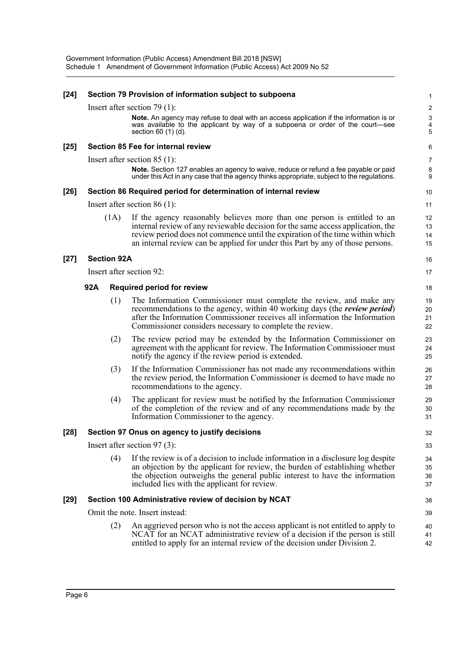| $[24]$ |     |                    | Section 79 Provision of information subject to subpoena                                                                                                                                                                                                                                                                        | 1                    |
|--------|-----|--------------------|--------------------------------------------------------------------------------------------------------------------------------------------------------------------------------------------------------------------------------------------------------------------------------------------------------------------------------|----------------------|
|        |     |                    | Insert after section 79 $(1)$ :                                                                                                                                                                                                                                                                                                | $\overline{c}$       |
|        |     |                    | Note. An agency may refuse to deal with an access application if the information is or<br>was available to the applicant by way of a subpoena or order of the court-see<br>section $60(1)(d)$ .                                                                                                                                | $\sqrt{3}$<br>4<br>5 |
| $[25]$ |     |                    | Section 85 Fee for internal review                                                                                                                                                                                                                                                                                             | 6                    |
|        |     |                    | Insert after section $85(1)$ :                                                                                                                                                                                                                                                                                                 | 7                    |
|        |     |                    | Note. Section 127 enables an agency to waive, reduce or refund a fee payable or paid<br>under this Act in any case that the agency thinks appropriate, subject to the regulations.                                                                                                                                             | 8<br>9               |
| $[26]$ |     |                    | Section 86 Required period for determination of internal review                                                                                                                                                                                                                                                                | 10                   |
|        |     |                    | Insert after section $86(1)$ :                                                                                                                                                                                                                                                                                                 | 11                   |
|        |     | (1A)               | If the agency reasonably believes more than one person is entitled to an<br>internal review of any reviewable decision for the same access application, the<br>review period does not commence until the expiration of the time within which<br>an internal review can be applied for under this Part by any of those persons. | 12<br>13<br>14<br>15 |
| $[27]$ |     | <b>Section 92A</b> |                                                                                                                                                                                                                                                                                                                                | 16                   |
|        |     |                    | Insert after section 92:                                                                                                                                                                                                                                                                                                       | 17                   |
|        | 92A |                    | <b>Required period for review</b>                                                                                                                                                                                                                                                                                              | 18                   |
|        |     | (1)                | The Information Commissioner must complete the review, and make any<br>recommendations to the agency, within 40 working days (the <i>review period</i> )<br>after the Information Commissioner receives all information the Information<br>Commissioner considers necessary to complete the review.                            | 19<br>20<br>21<br>22 |
|        |     | (2)                | The review period may be extended by the Information Commissioner on<br>agreement with the applicant for review. The Information Commissioner must<br>notify the agency if the review period is extended.                                                                                                                      | 23<br>24<br>25       |
|        |     | (3)                | If the Information Commissioner has not made any recommendations within<br>the review period, the Information Commissioner is deemed to have made no<br>recommendations to the agency.                                                                                                                                         | 26<br>27<br>28       |
|        |     | (4)                | The applicant for review must be notified by the Information Commissioner<br>of the completion of the review and of any recommendations made by the<br>Information Commissioner to the agency.                                                                                                                                 | 29<br>30<br>31       |
| [28]   |     |                    | Section 97 Onus on agency to justify decisions                                                                                                                                                                                                                                                                                 | 32                   |
|        |     |                    | Insert after section 97 $(3)$ :                                                                                                                                                                                                                                                                                                | 33                   |
|        |     | (4)                | If the review is of a decision to include information in a disclosure log despite<br>an objection by the applicant for review, the burden of establishing whether<br>the objection outweighs the general public interest to have the information<br>included lies with the applicant for review.                               | 34<br>35<br>36<br>37 |
| $[29]$ |     |                    | Section 100 Administrative review of decision by NCAT                                                                                                                                                                                                                                                                          | 38                   |
|        |     |                    | Omit the note. Insert instead:                                                                                                                                                                                                                                                                                                 | 39                   |
|        |     | (2)                | An aggrieved person who is not the access applicant is not entitled to apply to<br>NCAT for an NCAT administrative review of a decision if the person is still<br>entitled to apply for an internal review of the decision under Division 2.                                                                                   | 40<br>41<br>42       |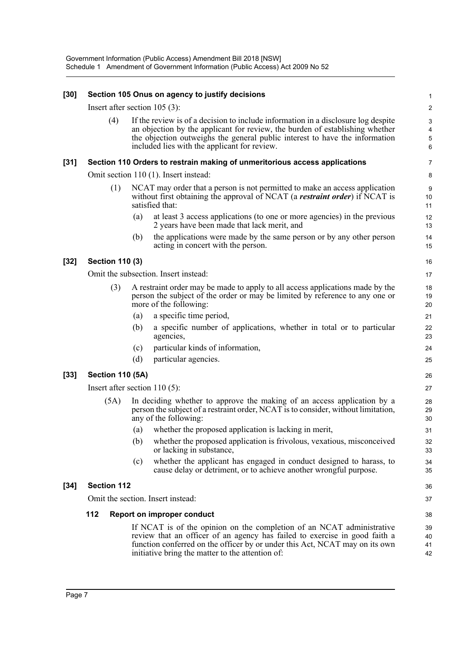| $[30]$ |                                 |     | Section 105 Onus on agency to justify decisions                                                                                                                                                                                                                                                  | $\mathbf{1}$                           |
|--------|---------------------------------|-----|--------------------------------------------------------------------------------------------------------------------------------------------------------------------------------------------------------------------------------------------------------------------------------------------------|----------------------------------------|
|        | Insert after section $105(3)$ : |     |                                                                                                                                                                                                                                                                                                  | $\overline{2}$                         |
|        | (4)                             |     | If the review is of a decision to include information in a disclosure log despite<br>an objection by the applicant for review, the burden of establishing whether<br>the objection outweighs the general public interest to have the information<br>included lies with the applicant for review. | 3<br>$\overline{4}$<br>$\sqrt{5}$<br>6 |
| $[31]$ |                                 |     | Section 110 Orders to restrain making of unmeritorious access applications                                                                                                                                                                                                                       | $\overline{7}$                         |
|        |                                 |     | Omit section 110 (1). Insert instead:                                                                                                                                                                                                                                                            | 8                                      |
|        | (1)                             |     | NCAT may order that a person is not permitted to make an access application<br>without first obtaining the approval of NCAT (a restraint order) if NCAT is<br>satisfied that:                                                                                                                    | 9<br>10<br>11                          |
|        |                                 | (a) | at least 3 access applications (to one or more agencies) in the previous<br>2 years have been made that lack merit, and                                                                                                                                                                          | 12<br>13                               |
|        |                                 | (b) | the applications were made by the same person or by any other person<br>acting in concert with the person.                                                                                                                                                                                       | 14<br>15                               |
| $[32]$ | <b>Section 110 (3)</b>          |     |                                                                                                                                                                                                                                                                                                  | 16                                     |
|        |                                 |     | Omit the subsection. Insert instead:                                                                                                                                                                                                                                                             | 17                                     |
|        | (3)                             |     | A restraint order may be made to apply to all access applications made by the<br>person the subject of the order or may be limited by reference to any one or<br>more of the following:                                                                                                          | 18<br>19<br>20                         |
|        |                                 | (a) | a specific time period,                                                                                                                                                                                                                                                                          | 21                                     |
|        |                                 | (b) | a specific number of applications, whether in total or to particular<br>agencies,                                                                                                                                                                                                                | 22<br>23                               |
|        |                                 | (c) | particular kinds of information,                                                                                                                                                                                                                                                                 | 24                                     |
|        |                                 | (d) | particular agencies.                                                                                                                                                                                                                                                                             | 25                                     |
| $[33]$ | <b>Section 110 (5A)</b>         |     |                                                                                                                                                                                                                                                                                                  | 26                                     |
|        | Insert after section $110(5)$ : |     |                                                                                                                                                                                                                                                                                                  | 27                                     |
|        | (5A)                            |     | In deciding whether to approve the making of an access application by a<br>person the subject of a restraint order, NCAT is to consider, without limitation,<br>any of the following:                                                                                                            | 28<br>29<br>30                         |
|        |                                 | (a) | whether the proposed application is lacking in merit,                                                                                                                                                                                                                                            | 31                                     |
|        |                                 | (b) | whether the proposed application is frivolous, vexatious, misconceived<br>or lacking in substance,                                                                                                                                                                                               | 32<br>33                               |
|        |                                 | (c) | whether the applicant has engaged in conduct designed to harass, to<br>cause delay or detriment, or to achieve another wrongful purpose.                                                                                                                                                         | 34<br>35                               |
| $[34]$ | <b>Section 112</b>              |     |                                                                                                                                                                                                                                                                                                  | 36                                     |
|        |                                 |     | Omit the section. Insert instead:                                                                                                                                                                                                                                                                | 37                                     |
|        | 112                             |     | <b>Report on improper conduct</b>                                                                                                                                                                                                                                                                | 38                                     |
|        |                                 |     | If NCAT is of the opinion on the completion of an NCAT administrative<br>review that an officer of an agency has failed to exercise in good faith a<br>function conferred on the officer by or under this Act, NCAT may on its own<br>initiative bring the matter to the attention of:           | 39<br>40<br>41<br>42                   |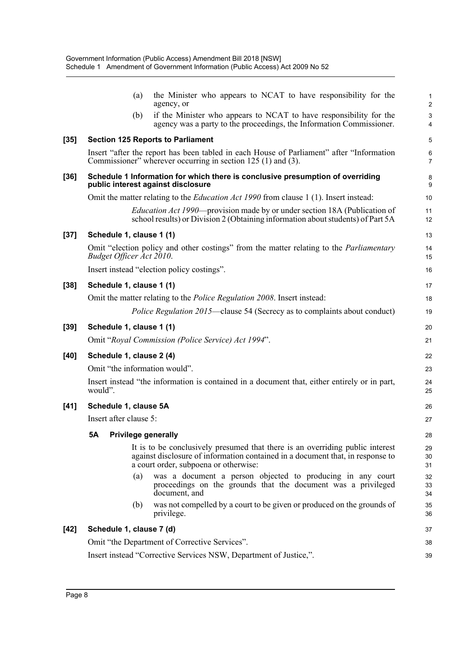|      | the Minister who appears to NCAT to have responsibility for the<br>(a)<br>agency, or                                                                                                                     | $\mathbf{1}$<br>$\overline{c}$ |
|------|----------------------------------------------------------------------------------------------------------------------------------------------------------------------------------------------------------|--------------------------------|
|      | if the Minister who appears to NCAT to have responsibility for the<br>(b)<br>agency was a party to the proceedings, the Information Commissioner.                                                        | 3<br>$\overline{4}$            |
| [35] | <b>Section 125 Reports to Parliament</b>                                                                                                                                                                 | 5                              |
|      | Insert "after the report has been tabled in each House of Parliament" after "Information<br>Commissioner" wherever occurring in section $125(1)$ and $(3)$ .                                             | $\,6\,$<br>$\overline{7}$      |
| [36] | Schedule 1 Information for which there is conclusive presumption of overriding<br>public interest against disclosure                                                                                     | 8<br>9                         |
|      | Omit the matter relating to the <i>Education Act 1990</i> from clause 1 (1). Insert instead:                                                                                                             | 10                             |
|      | <i>Education Act 1990</i> —provision made by or under section 18A (Publication of<br>school results) or Division 2 (Obtaining information about students) of Part 5A                                     | 11<br>12                       |
| [37] | Schedule 1, clause 1 (1)                                                                                                                                                                                 | 13                             |
|      | Omit "election policy and other costings" from the matter relating to the <i>Parliamentary</i><br>Budget Officer Act 2010.                                                                               | 14<br>15                       |
|      | Insert instead "election policy costings".                                                                                                                                                               | 16                             |
| [38] | Schedule 1, clause 1 (1)                                                                                                                                                                                 | 17                             |
|      | Omit the matter relating to the Police Regulation 2008. Insert instead:                                                                                                                                  | 18                             |
|      | <i>Police Regulation 2015</i> —clause 54 (Secrecy as to complaints about conduct)                                                                                                                        | 19                             |
| [39] | Schedule 1, clause 1 (1)                                                                                                                                                                                 | 20                             |
|      | Omit "Royal Commission (Police Service) Act 1994".                                                                                                                                                       | 21                             |
| [40] | Schedule 1, clause 2 (4)                                                                                                                                                                                 | 22                             |
|      | Omit "the information would".                                                                                                                                                                            | 23                             |
|      | Insert instead "the information is contained in a document that, either entirely or in part,<br>would".                                                                                                  | 24<br>25                       |
| [41] | Schedule 1, clause 5A                                                                                                                                                                                    | 26                             |
|      | Insert after clause 5:                                                                                                                                                                                   | 27                             |
|      | 5A Privilege generally                                                                                                                                                                                   | 28                             |
|      | It is to be conclusively presumed that there is an overriding public interest<br>against disclosure of information contained in a document that, in response to<br>a court order, subpoena or otherwise: | 29<br>30<br>31                 |
|      | was a document a person objected to producing in any court<br>(a)<br>proceedings on the grounds that the document was a privileged<br>document, and                                                      | 32<br>33<br>34                 |
|      | was not compelled by a court to be given or produced on the grounds of<br>(b)<br>privilege.                                                                                                              | 35<br>36                       |
| [42] | Schedule 1, clause 7 (d)                                                                                                                                                                                 | 37                             |
|      | Omit "the Department of Corrective Services".                                                                                                                                                            | 38                             |
|      | Insert instead "Corrective Services NSW, Department of Justice,".                                                                                                                                        | 39                             |
|      |                                                                                                                                                                                                          |                                |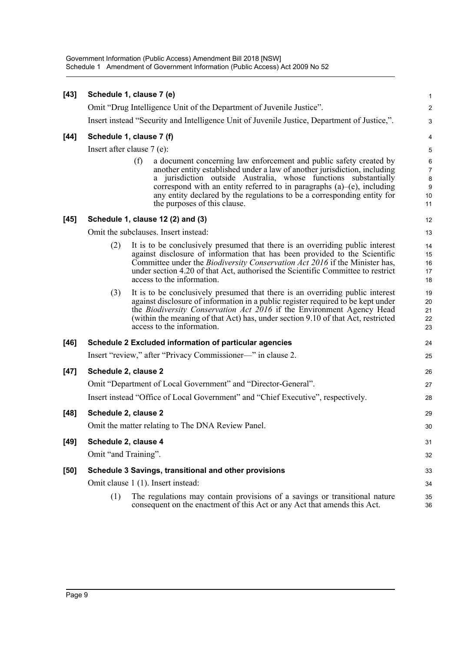| $[43]$ | Schedule 1, clause 7 (e)     |     |                                                                                                                                                                                                                                                                                                                                                                                                                | 1                                                        |
|--------|------------------------------|-----|----------------------------------------------------------------------------------------------------------------------------------------------------------------------------------------------------------------------------------------------------------------------------------------------------------------------------------------------------------------------------------------------------------------|----------------------------------------------------------|
|        |                              |     | Omit "Drug Intelligence Unit of the Department of Juvenile Justice".                                                                                                                                                                                                                                                                                                                                           | $\overline{\mathbf{c}}$                                  |
|        |                              |     | Insert instead "Security and Intelligence Unit of Juvenile Justice, Department of Justice,".                                                                                                                                                                                                                                                                                                                   | 3                                                        |
| $[44]$ | Schedule 1, clause 7 (f)     |     |                                                                                                                                                                                                                                                                                                                                                                                                                | $\overline{\mathcal{A}}$                                 |
|        | Insert after clause $7(e)$ : |     |                                                                                                                                                                                                                                                                                                                                                                                                                | 5                                                        |
|        |                              | (f) | a document concerning law enforcement and public safety created by<br>another entity established under a law of another jurisdiction, including<br>a jurisdiction outside Australia, whose functions substantially<br>correspond with an entity referred to in paragraphs $(a)$ – $(e)$ , including<br>any entity declared by the regulations to be a corresponding entity for<br>the purposes of this clause. | $\boldsymbol{6}$<br>$\overline{7}$<br>8<br>9<br>10<br>11 |
| $[45]$ |                              |     | Schedule 1, clause 12 (2) and (3)                                                                                                                                                                                                                                                                                                                                                                              | 12                                                       |
|        |                              |     | Omit the subclauses. Insert instead:                                                                                                                                                                                                                                                                                                                                                                           | 13                                                       |
|        | (2)                          |     | It is to be conclusively presumed that there is an overriding public interest<br>against disclosure of information that has been provided to the Scientific<br>Committee under the <i>Biodiversity Conservation Act 2016</i> if the Minister has,<br>under section 4.20 of that Act, authorised the Scientific Committee to restrict<br>access to the information.                                             | 14<br>15<br>16<br>17<br>18                               |
|        | (3)                          |     | It is to be conclusively presumed that there is an overriding public interest<br>against disclosure of information in a public register required to be kept under<br>the <i>Biodiversity Conservation Act 2016</i> if the Environment Agency Head<br>(within the meaning of that Act) has, under section 9.10 of that Act, restricted<br>access to the information.                                            | 19<br>20<br>21<br>22<br>23                               |
| $[46]$ |                              |     | Schedule 2 Excluded information of particular agencies                                                                                                                                                                                                                                                                                                                                                         | 24                                                       |
|        |                              |     | Insert "review," after "Privacy Commissioner-" in clause 2.                                                                                                                                                                                                                                                                                                                                                    | 25                                                       |
| $[47]$ | Schedule 2, clause 2         |     |                                                                                                                                                                                                                                                                                                                                                                                                                | 26                                                       |
|        |                              |     | Omit "Department of Local Government" and "Director-General".                                                                                                                                                                                                                                                                                                                                                  | 27                                                       |
|        |                              |     | Insert instead "Office of Local Government" and "Chief Executive", respectively.                                                                                                                                                                                                                                                                                                                               | 28                                                       |
| $[48]$ | Schedule 2, clause 2         |     |                                                                                                                                                                                                                                                                                                                                                                                                                | 29                                                       |
|        |                              |     | Omit the matter relating to The DNA Review Panel.                                                                                                                                                                                                                                                                                                                                                              | 30                                                       |
| $[49]$ | Schedule 2, clause 4         |     |                                                                                                                                                                                                                                                                                                                                                                                                                | 31                                                       |
|        | Omit "and Training".         |     |                                                                                                                                                                                                                                                                                                                                                                                                                | 32                                                       |
| $[50]$ |                              |     | Schedule 3 Savings, transitional and other provisions                                                                                                                                                                                                                                                                                                                                                          | 33                                                       |
|        |                              |     | Omit clause 1 (1). Insert instead:                                                                                                                                                                                                                                                                                                                                                                             | 34                                                       |
|        | (1)                          |     | The regulations may contain provisions of a savings or transitional nature<br>consequent on the enactment of this Act or any Act that amends this Act.                                                                                                                                                                                                                                                         | 35<br>36                                                 |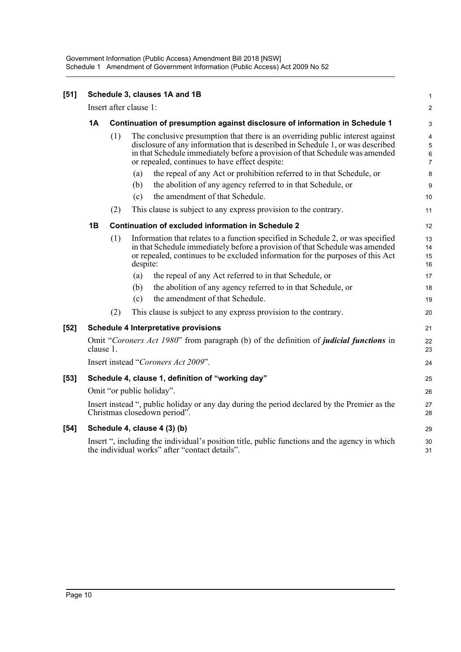Government Information (Public Access) Amendment Bill 2018 [NSW] Schedule 1 Amendment of Government Information (Public Access) Act 2009 No 52

| [51] |           |                        |          | Schedule 3, clauses 1A and 1B                                                                                                                                                                                                                                                                       | 1                                 |
|------|-----------|------------------------|----------|-----------------------------------------------------------------------------------------------------------------------------------------------------------------------------------------------------------------------------------------------------------------------------------------------------|-----------------------------------|
|      |           | Insert after clause 1: |          |                                                                                                                                                                                                                                                                                                     | $\overline{2}$                    |
|      | 1Α        |                        |          | Continuation of presumption against disclosure of information in Schedule 1                                                                                                                                                                                                                         | 3                                 |
|      |           | (1)                    |          | The conclusive presumption that there is an overriding public interest against<br>disclosure of any information that is described in Schedule 1, or was described<br>in that Schedule immediately before a provision of that Schedule was amended<br>or repealed, continues to have effect despite: | 4<br>5<br>$\,6$<br>$\overline{7}$ |
|      |           |                        | (a)      | the repeal of any Act or prohibition referred to in that Schedule, or                                                                                                                                                                                                                               | 8                                 |
|      |           |                        | (b)      | the abolition of any agency referred to in that Schedule, or                                                                                                                                                                                                                                        | 9                                 |
|      |           |                        | (c)      | the amendment of that Schedule.                                                                                                                                                                                                                                                                     | 10                                |
|      |           | (2)                    |          | This clause is subject to any express provision to the contrary.                                                                                                                                                                                                                                    | 11                                |
|      | 1Β        |                        |          | <b>Continuation of excluded information in Schedule 2</b>                                                                                                                                                                                                                                           | 12                                |
|      |           | (1)                    | despite: | Information that relates to a function specified in Schedule 2, or was specified<br>in that Schedule immediately before a provision of that Schedule was amended<br>or repealed, continues to be excluded information for the purposes of this Act                                                  | 13<br>14<br>15<br>16              |
|      |           |                        | (a)      | the repeal of any Act referred to in that Schedule, or                                                                                                                                                                                                                                              | 17                                |
|      |           |                        | (b)      | the abolition of any agency referred to in that Schedule, or                                                                                                                                                                                                                                        | 18                                |
|      |           |                        | (c)      | the amendment of that Schedule.                                                                                                                                                                                                                                                                     | 19                                |
|      |           | (2)                    |          | This clause is subject to any express provision to the contrary.                                                                                                                                                                                                                                    | 20                                |
| [52] |           |                        |          | <b>Schedule 4 Interpretative provisions</b>                                                                                                                                                                                                                                                         | 21                                |
|      | clause 1. |                        |          | Omit "Coroners Act 1980" from paragraph (b) of the definition of <i>judicial functions</i> in                                                                                                                                                                                                       | 22<br>23                          |
|      |           |                        |          | Insert instead "Coroners Act 2009".                                                                                                                                                                                                                                                                 | 24                                |
| [53] |           |                        |          | Schedule 4, clause 1, definition of "working day"                                                                                                                                                                                                                                                   | 25                                |
|      |           |                        |          | Omit "or public holiday".                                                                                                                                                                                                                                                                           | 26                                |
|      |           |                        |          | Insert instead ", public holiday or any day during the period declared by the Premier as the<br>Christmas closedown period".                                                                                                                                                                        | 27<br>28                          |
| [54] |           |                        |          | Schedule 4, clause 4 (3) (b)                                                                                                                                                                                                                                                                        | 29                                |
|      |           |                        |          | Insert ", including the individual's position title, public functions and the agency in which<br>the individual works" after "contact details".                                                                                                                                                     | 30<br>31                          |
|      |           |                        |          |                                                                                                                                                                                                                                                                                                     |                                   |